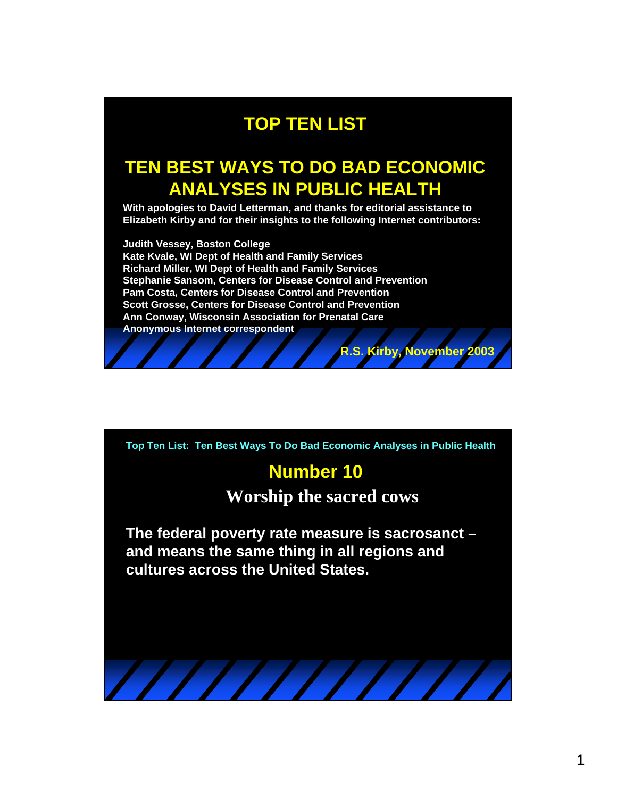## **TOP TEN LIST**

# **TEN BEST WAYS TO DO BAD ECONOMIC ANALYSES IN PUBLIC HEALTH**

**With apologies to David Letterman, and thanks for editorial assistance to Elizabeth Kirby and for their insights to the following Internet contributors:** 

**Judith Vessey, Boston College Kate Kvale, WI Dept of Health and Family Services Richard Miller, WI Dept of Health and Family Services Stephanie Sansom, Centers for Disease Control and Prevention Pam Costa, Centers for Disease Control and Prevention Scott Grosse, Centers for Disease Control and Prevention Ann Conway, Wisconsin Association for Prenatal Care Anonymous Internet correspondent**

**Top Ten List: Ten Best Ways To Do Bad Economic Analyses in Public Health**

#### **Number 10**

**Worship the sacred cows**

**R.S. Kirby, November 2003**

**The federal poverty rate measure is sacrosanct – and means the same thing in all regions and cultures across the United States.**

 $\frac{1}{1}$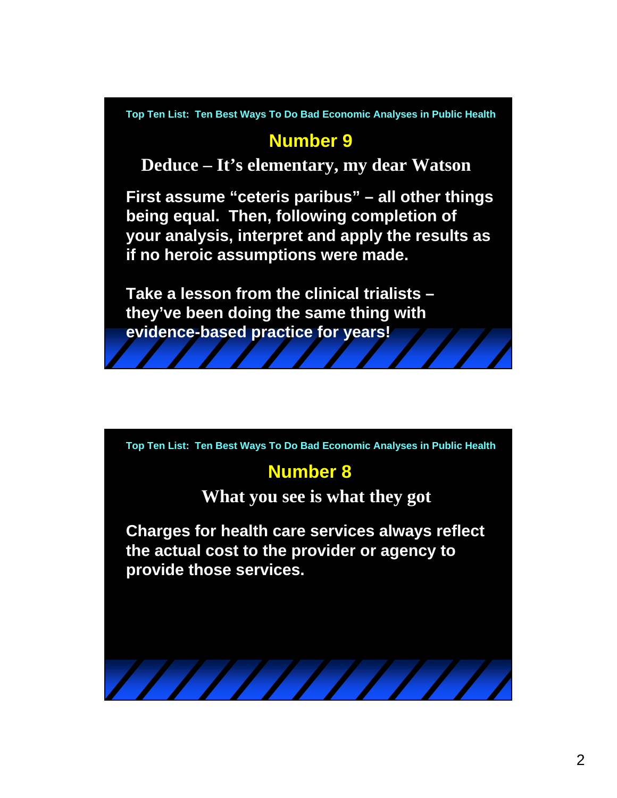### **Number 9**

**Deduce – It's elementary, my dear Watson**

**First assume "ceteris paribus" – all other things being equal. Then, following completion of your analysis, interpret and apply the results as if no heroic assumptions were made.**

**Take a lesson from the clinical trialists – they've been doing the same thing with evidence-based practice for years!** 

**Top Ten List: Ten Best Ways To Do Bad Economic Analyses in Public Health**

## **Number 8**

**What you see is what they got**

**Charges for health care services always reflect the actual cost to the provider or agency to provide those services.**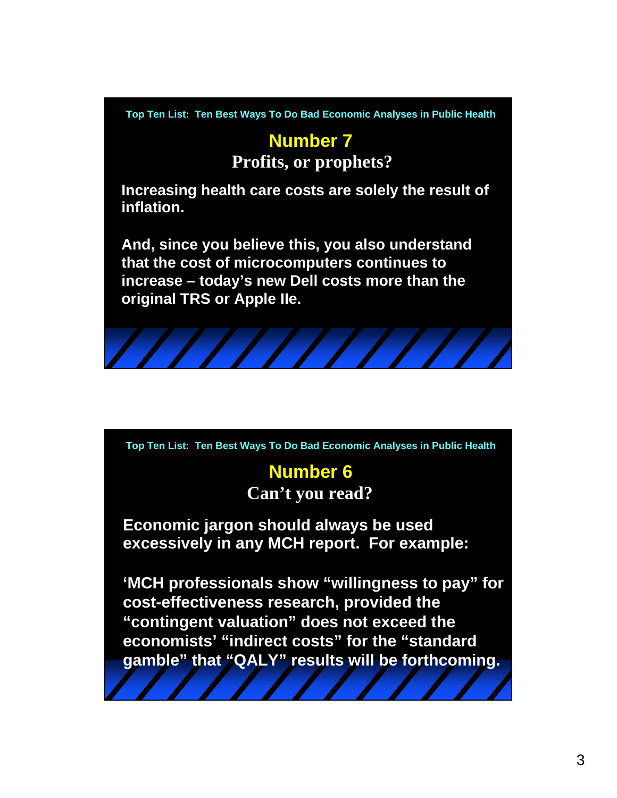## **Number 7**

**Profits, or prophets?**

**Increasing health care costs are solely the result of inflation.**

**And, since you believe this, you also understand that the cost of microcomputers continues to increase – today's new Dell costs more than the original TRS or Apple IIe.**



**Top Ten List: Ten Best Ways To Do Bad Economic Analyses in Public Health**

### **Number 6 Can't you read?**

**Economic jargon should always be used excessively in any MCH report. For example:**

**'MCH professionals show "willingness to pay" for cost-effectiveness research, provided the "contingent valuation" does not exceed the economists' "indirect costs" for the "standard gamble" that "QALY" results will be forthcoming.**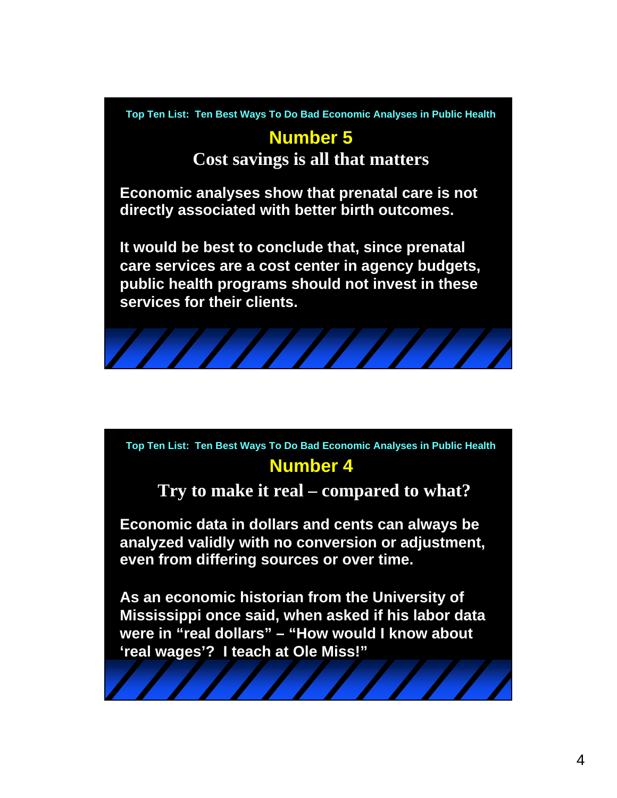## **Number 5**

**Cost savings is all that matters**

**Economic analyses show that prenatal care is not directly associated with better birth outcomes.** 

**It would be best to conclude that, since prenatal care services are a cost center in agency budgets, public health programs should not invest in these services for their clients.**



**Number 4 Top Ten List: Ten Best Ways To Do Bad Economic Analyses in Public Health**

**Try to make it real – compared to what?**

**Economic data in dollars and cents can always be analyzed validly with no conversion or adjustment, even from differing sources or over time.**

**As an economic historian from the University of Mississippi once said, when asked if his labor data were in "real dollars" – "How would I know about 'real wages'? I teach at Ole Miss!"**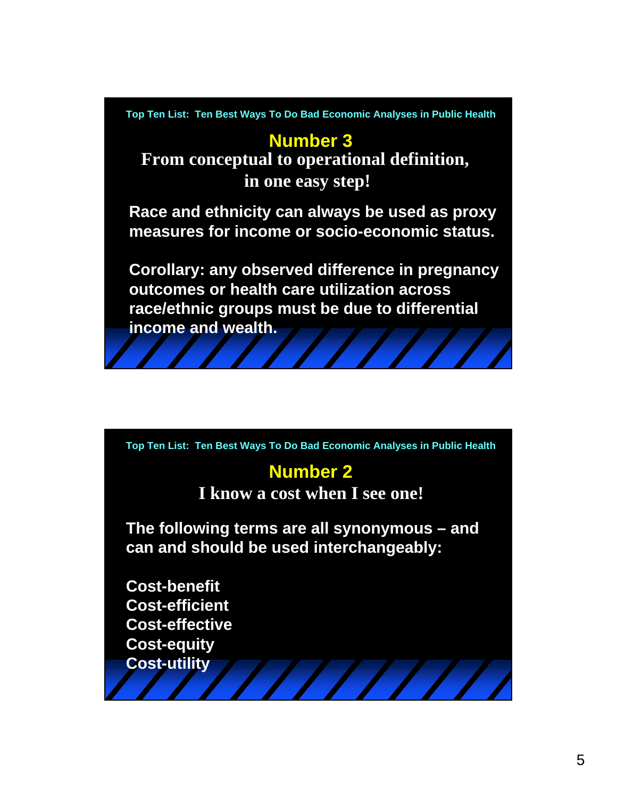### **Number 3**

**From conceptual to operational definition, in one easy step!**

**Race and ethnicity can always be used as proxy measures for income or socio-economic status.**

**Corollary: any observed difference in pregnancy outcomes or health care utilization across race/ethnic groups must be due to differential income and wealth.**

**Top Ten List: Ten Best Ways To Do Bad Economic Analyses in Public Health**

## **Number 2**

**I know a cost when I see one!**

**The following terms are all synonymous – and can and should be used interchangeably:**

**Cost-benefit Cost-efficient Cost-effective Cost-equity Cost-utility**